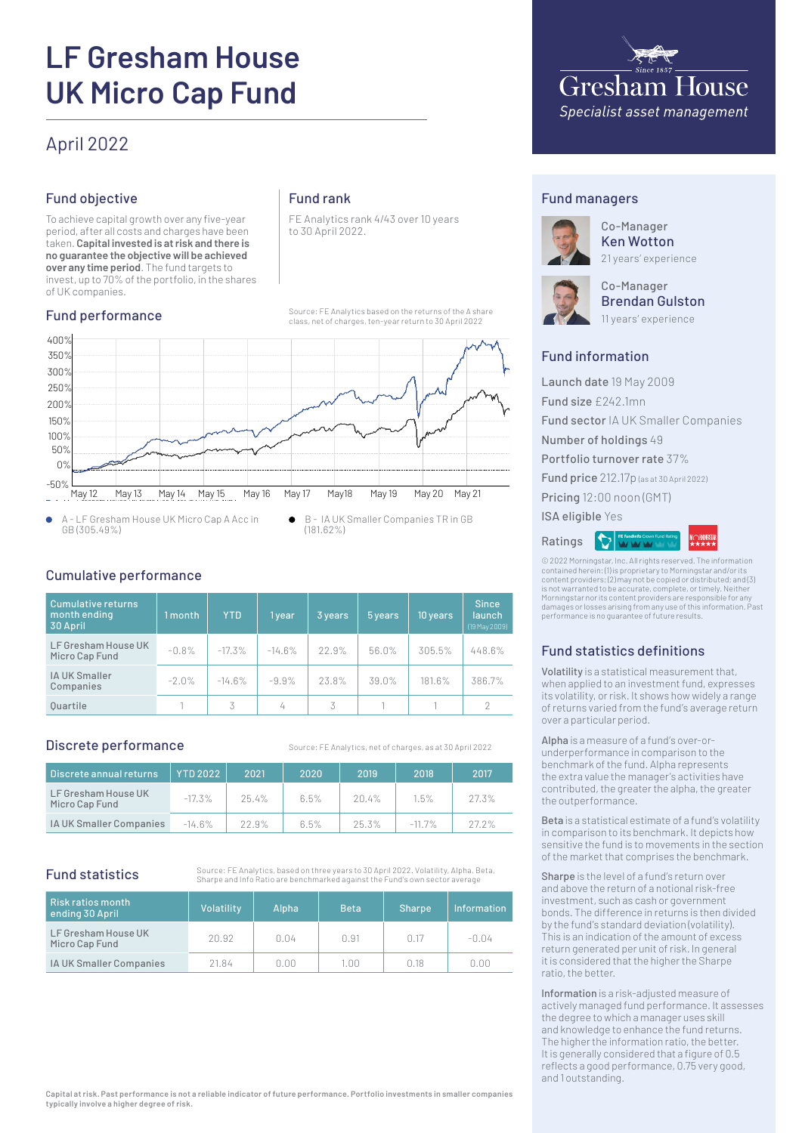# **LF Gresham House UK Micro Cap Fund**

# April 2022

# Fund objective

To achieve capital growth over any five-year period, after all costs and charges have been taken. **Capital invested is at risk and there is no guarantee the objective will be achieved over any time period**. The fund targets to invest, up to 70% of the portfolio, in the shares of UK companies.

# Fund performance

# Fund rank

FE Analytics rank 4/43 over 10 years to 30 April 2022.

Source: FE Analytics based on the returns of the A share class, net of charges, ten-year return to 30 April 2022



A - LF Gresham House UK Micro Cap A Acc in  $\bullet$ GB (305.49%)

B - IA UK Smaller Companies TR in GB  $\bullet$ (181.62%)

# Cumulative performance

| Cumulative returns<br>month ending<br>30 April | 1 month | <b>YTD</b> | 1 year   | 3 years | 5 years | 10 years | <b>Since</b><br><b>launch</b><br>(19 May 2009) |
|------------------------------------------------|---------|------------|----------|---------|---------|----------|------------------------------------------------|
| LF Gresham House UK<br>Micro Cap Fund          | $-0.8%$ | $-17.3%$   | $-14.6%$ | 22.9%   | 56.0%   | 305.5%   | 448.6%                                         |
| IA UK Smaller<br>Companies                     | $-2.0%$ | $-14.6%$   | $-9.9%$  | 23.8%   | 39.0%   | 181.6%   | 386.7%                                         |
| <b>Ouartile</b>                                |         | 3          | 4        | 3       |         |          | 2                                              |

# Discrete performance

Source: FE Analytics, net of charges, as at 30 April 2022

| Discrete annual returns               | <b>YTD 2022</b> | 2021  | 2020 | 2019     | 2018      | 2017  |
|---------------------------------------|-----------------|-------|------|----------|-----------|-------|
| LF Gresham House UK<br>Micro Cap Fund | $-17.3\%$       | 25.4% | 6.5% | $20.4\%$ | 1.5%      | 27.3% |
| IA UK Smaller Companies               | $-14.6%$        | 22.9% | 6.5% | 25.3%    | $-11.7\%$ | 27.2% |

# Fund statistics

Source: FE Analytics, based on three years to 30 April 2022. Volatility, Alpha, Beta, Sharpe and Info Ratio are benchmarked against the Fund's own sector average

| Risk ratios month<br>ending 30 April  | Volatility | Alpha | <b>Beta</b> | <b>Sharpe</b> | <b>Information</b> |
|---------------------------------------|------------|-------|-------------|---------------|--------------------|
| LF Gresham House UK<br>Micro Cap Fund | 20.92      | 0.04  | 0.91        | 0.17          | -0.04              |
| IA UK Smaller Companies               | 21.84      | 0.00  | 1.00        | N 18          | 0.OO               |



# Fund managers



Co-Manager Ken Wotton 21 years' experience



Co-Manager Brendan Gulston

11 years' experience

# Fund information

Launch date 19 May 2009 Fund size £242.1mn Fund sector IA UK Smaller Companies Number of holdings 49 Portfolio turnover rate 37% Fund price 212.17p (as at 30 April 2022) Pricing 12:00 noon (GMT) ISA eligible Yes  $|\mathcal{O}|$ Ratings

© 2022 Morningstar, Inc. All rights reserved. The information contained herein: (1) is proprietary to Morningstar and/or its content providers; (2) may not be copied or distributed; and (3) is not warranted to be accurate, complete, or timely. Neither Morningstar nor its content providers are responsible for any damages or losses arising from any use of this information. Past performance is no guarantee of future results.

# Fund statistics definitions

Volatility is a statistical measurement that, when applied to an investment fund, expresses its volatility, or risk. It shows how widely a range of returns varied from the fund's average return over a particular period.

Alpha is a measure of a fund's over-orunderperformance in comparison to the benchmark of the fund. Alpha represents the extra value the manager's activities have contributed, the greater the alpha, the greater the outperformance.

Beta is a statistical estimate of a fund's volatility in comparison to its benchmark. It depicts how sensitive the fund is to movements in the section of the market that comprises the benchmark.

Sharpe is the level of a fund's return over and above the return of a notional risk-free investment, such as cash or government bonds. The difference in returns is then divided by the fund's standard deviation (volatility). This is an indication of the amount of excess return generated per unit of risk. In general it is considered that the higher the Sharpe ratio, the better.

Information is a risk-adjusted measure of actively managed fund performance. It assesses the degree to which a manager uses skill and knowledge to enhance the fund returns. The higher the information ratio, the better. It is generally considered that a figure of 0.5 reflects a good performance, 0.75 very good, and 1 outstanding.

**Capital at risk. Past performance is not a reliable indicator of future performance. Portfolio investments in smaller companies typically involve a higher degree of risk.**